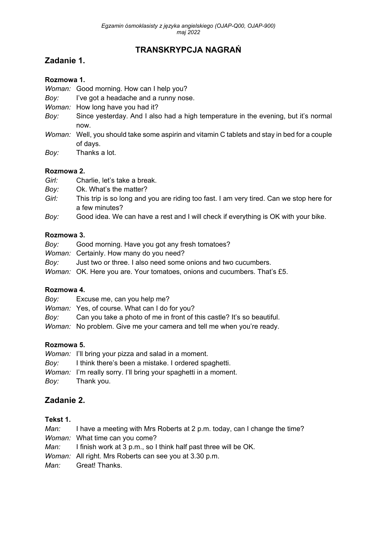# **TRANSKRYPCJA NAGRAŃ**

## **Zadanie 1.**

### **Rozmowa 1.**

*Woman:* Good morning. How can I help you?

- *Boy:* I've got a headache and a runny nose.
- *Woman:* How long have you had it?
- *Boy:* Since yesterday. And I also had a high temperature in the evening, but it's normal now.
- *Woman:* Well, you should take some aspirin and vitamin C tablets and stay in bed for a couple of days.
- *Boy:* Thanks a lot.

### **Rozmowa 2.**

- *Girl:* Charlie, let's take a break.
- *Boy:* Ok. What's the matter?
- *Girl:* This trip is so long and you are riding too fast. I am very tired. Can we stop here for a few minutes?
- *Boy:* Good idea. We can have a rest and I will check if everything is OK with your bike.

#### **Rozmowa 3.**

- *Boy:* Good morning. Have you got any fresh tomatoes?
- *Woman:* Certainly. How many do you need?
- *Boy:* Just two or three. I also need some onions and two cucumbers.
- *Woman:* OK. Here you are. Your tomatoes, onions and cucumbers. That's £5.

#### **Rozmowa 4.**

- *Boy:* Excuse me, can you help me?
- *Woman:* Yes, of course. What can I do for you?
- *Boy:* Can you take a photo of me in front of this castle? It's so beautiful.
- *Woman:* No problem. Give me your camera and tell me when you're ready.

#### **Rozmowa 5.**

- *Woman:* I'll bring your pizza and salad in a moment. *Boy:* I think there's been a mistake. I ordered spaghetti. *Woman:* I'm really sorry. I'll bring your spaghetti in a moment.
- *Boy:* Thank you.

## **Zadanie 2.**

#### **Tekst 1.**

*Man:* I have a meeting with Mrs Roberts at 2 p.m. today, can I change the time? *Woman:* What time can you come?

- *Man:* I finish work at 3 p.m., so I think half past three will be OK.
- *Woman:* All right. Mrs Roberts can see you at 3.30 p.m.
- *Man:* Great! Thanks.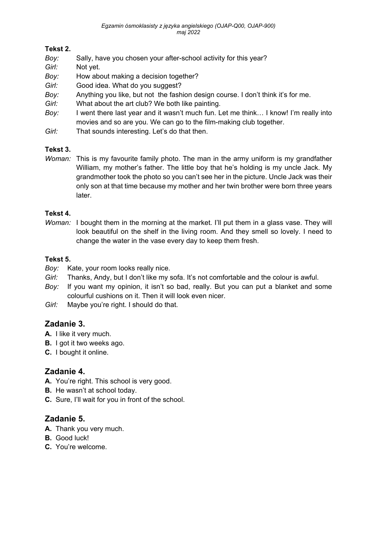### **Tekst 2.**

- *Boy:* Sally, have you chosen your after-school activity for this year?
- *Girl:* Not yet.
- *Boy:* How about making a decision together?
- *Girl:* Good idea. What do you suggest?
- *Boy:* Anything you like, but not the fashion design course. I don't think it's for me.
- *Girl:* What about the art club? We both like painting.
- *Boy:* I went there last year and it wasn't much fun. Let me think… I know! I'm really into movies and so are you. We can go to the film-making club together.
- *Girl:* That sounds interesting. Let's do that then.

### **Tekst 3.**

*Woman:* This is my favourite family photo. The man in the army uniform is my grandfather William, my mother's father. The little boy that he's holding is my uncle Jack. My grandmother took the photo so you can't see her in the picture. Uncle Jack was their only son at that time because my mother and her twin brother were born three years later.

### **Tekst 4.**

*Woman:* I bought them in the morning at the market. I'll put them in a glass vase. They will look beautiful on the shelf in the living room. And they smell so lovely. I need to change the water in the vase every day to keep them fresh.

### **Tekst 5.**

- *Boy:* Kate, your room looks really nice.
- *Girl:* Thanks, Andy, but I don't like my sofa. It's not comfortable and the colour is awful.
- *Boy:* If you want my opinion, it isn't so bad, really. But you can put a blanket and some colourful cushions on it. Then it will look even nicer.
- *Girl:* Maybe you're right. I should do that.

# **Zadanie 3.**

- **A.** I like it very much.
- **B.** I got it two weeks ago.
- **C.** I bought it online.

# **Zadanie 4.**

- **A.** You're right. This school is very good.
- **B.** He wasn't at school today.
- **C.** Sure, I'll wait for you in front of the school.

## **Zadanie 5.**

- **A.** Thank you very much.
- **B.** Good luck!
- **C.** You're welcome.